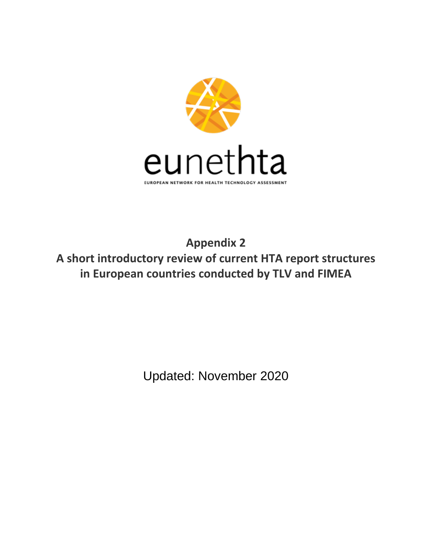

**Appendix 2 A short introductory review of current HTA report structures in European countries conducted by TLV and FIMEA**

Updated: November 2020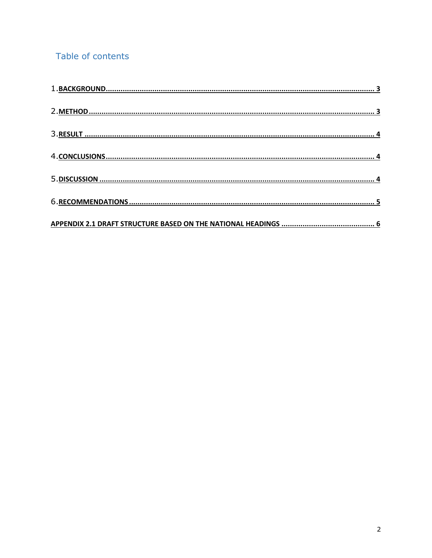## Table of contents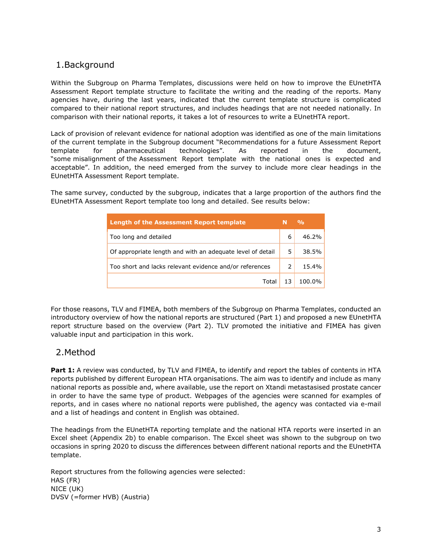### 1.Background

Within the Subgroup on Pharma Templates, discussions were held on how to improve the EUnetHTA Assessment Report template structure to facilitate the writing and the reading of the reports. Many agencies have, during the last years, indicated that the current template structure is complicated compared to their national report structures, and includes headings that are not needed nationally. In comparison with their national reports, it takes a lot of resources to write a EUnetHTA report.

Lack of provision of relevant evidence for national adoption was identified as one of the main limitations of the current template in the Subgroup document "Recommendations for a future Assessment Report template for pharmaceutical technologies". As reported in the document, "some misalignment of the Assessment Report template with the national ones is expected and acceptable". In addition, the need emerged from the survey to include more clear headings in the EUnetHTA Assessment Report template.

The same survey, conducted by the subgroup, indicates that a large proportion of the authors find the EUnetHTA Assessment Report template too long and detailed. See results below:

| <b>Length of the Assessment Report template</b>            |                | O <sub>0</sub> |
|------------------------------------------------------------|----------------|----------------|
| Too long and detailed                                      |                | 46.2%          |
| Of appropriate length and with an adequate level of detail | 5.             | 38.5%          |
| Too short and lacks relevant evidence and/or references    | $\overline{2}$ | 15.4%          |
| Total                                                      | 13             | 100.0%         |

For those reasons, TLV and FIMEA, both members of the Subgroup on Pharma Templates, conducted an introductory overview of how the national reports are structured (Part 1) and proposed a new EUnetHTA report structure based on the overview (Part 2). TLV promoted the initiative and FIMEA has given valuable input and participation in this work.

#### 2.Method

**Part 1:** A review was conducted, by TLV and FIMEA, to identify and report the tables of contents in HTA reports published by different European HTA organisations. The aim was to identify and include as many national reports as possible and, where available, use the report on Xtandi metastasised prostate cancer in order to have the same type of product. Webpages of the agencies were scanned for examples of reports, and in cases where no national reports were published, the agency was contacted via e-mail and a list of headings and content in English was obtained.

The headings from the EUnetHTA reporting template and the national HTA reports were inserted in an Excel sheet (Appendix 2b) to enable comparison. The Excel sheet was shown to the subgroup on two occasions in spring 2020 to discuss the differences between different national reports and the EUnetHTA template.

Report structures from the following agencies were selected: HAS (FR) NICE (UK) DVSV (=former HVB) (Austria)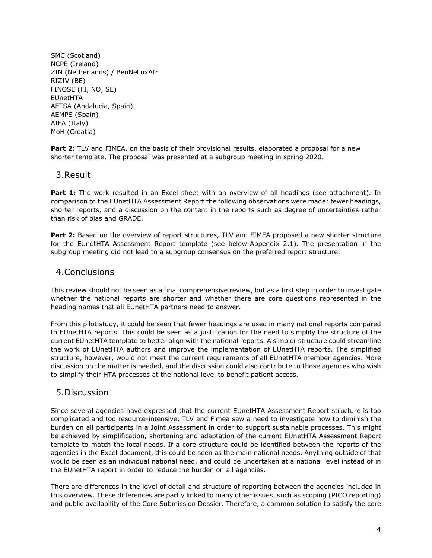SMC (Scotland) NCPE (Ireland) ZIN (Netherlands) / BenNeLuxAIr RIZIV (BE) FINOSE (FI, NO, SE) EUnetHTA AETSA (Andalucia, Spain) AEMPS (Spain) AIFA (Italy) MoH (Croatia)

**Part 2:** TLV and FIMEA, on the basis of their provisional results, elaborated a proposal for a new shorter template. The proposal was presented at a subgroup meeting in spring 2020.

#### 3.Result

**Part 1:** The work resulted in an Excel sheet with an overview of all headings (see attachment). In comparison to the EUnetHTA Assessment Report the following observations were made: fewer headings, shorter reports, and a discussion on the content in the reports such as degree of uncertainties rather than risk of bias and GRADE.

**Part 2:** Based on the overview of report structures, TLV and FIMEA proposed a new shorter structure for the EUnetHTA Assessment Report template (see below-Appendix 2.1). The presentation in the subgroup meeting did not lead to a subgroup consensus on the preferred report structure.

#### 4.Conclusions

This review should not be seen as a final comprehensive review, but as a first step in order to investigate whether the national reports are shorter and whether there are core questions represented in the heading names that all EUnetHTA partners need to answer.

From this pilot study, it could be seen that fewer headings are used in many national reports compared to EUnetHTA reports. This could be seen as a justification for the need to simplify the structure of the current EUnetHTA template to better align with the national reports. A simpler structure could streamline the work of EUnetHTA authors and improve the implementation of EUnetHTA reports. The simplified structure, however, would not meet the current requirements of all EUnetHTA member agencies. More discussion on the matter is needed, and the discussion could also contribute to those agencies who wish to simplify their HTA processes at the national level to benefit patient access.

#### 5.Discussion

Since several agencies have expressed that the current EUnetHTA Assessment Report structure is too complicated and too resource-intensive, TLV and Fimea saw a need to investigate how to diminish the burden on all participants in a Joint Assessment in order to support sustainable processes. This might be achieved by simplification, shortening and adaptation of the current EUnetHTA Assessment Report template to match the local needs. If a core structure could be identified between the reports of the agencies in the Excel document, this could be seen as the main national needs. Anything outside of that would be seen as an individual national need, and could be undertaken at a national level instead of in the EUnetHTA report in order to reduce the burden on all agencies.

There are differences in the level of detail and structure of reporting between the agencies included in this overview. These differences are partly linked to many other issues, such as scoping (PICO reporting) and public availability of the Core Submission Dossier. Therefore, a common solution to satisfy the core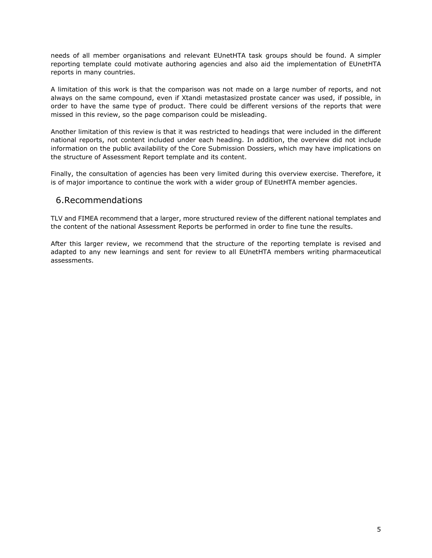needs of all member organisations and relevant EUnetHTA task groups should be found. A simpler reporting template could motivate authoring agencies and also aid the implementation of EUnetHTA reports in many countries.

A limitation of this work is that the comparison was not made on a large number of reports, and not always on the same compound, even if Xtandi metastasized prostate cancer was used, if possible, in order to have the same type of product. There could be different versions of the reports that were missed in this review, so the page comparison could be misleading.

Another limitation of this review is that it was restricted to headings that were included in the different national reports, not content included under each heading. In addition, the overview did not include information on the public availability of the Core Submission Dossiers, which may have implications on the structure of Assessment Report template and its content.

Finally, the consultation of agencies has been very limited during this overview exercise. Therefore, it is of major importance to continue the work with a wider group of EUnetHTA member agencies.

#### 6.Recommendations

TLV and FIMEA recommend that a larger, more structured review of the different national templates and the content of the national Assessment Reports be performed in order to fine tune the results.

After this larger review, we recommend that the structure of the reporting template is revised and adapted to any new learnings and sent for review to all EUnetHTA members writing pharmaceutical assessments.